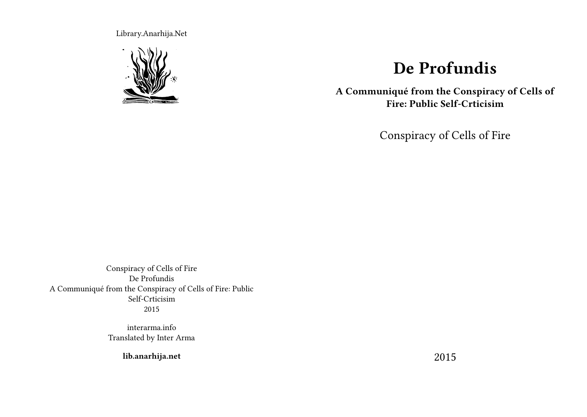Library.Anarhija.Net



# **De Profundis**

**A Communiqué from the Conspiracy of Cells of Fire: Public Self-Crticisim**

Conspiracy of Cells of Fire

Conspiracy of Cells of Fire De Profundis A Communiqué from the Conspiracy of Cells of Fire: Public Self-Crticisim 2015

> interarma.info Translated by Inter Arma

> > **lib.anarhija.net**

2015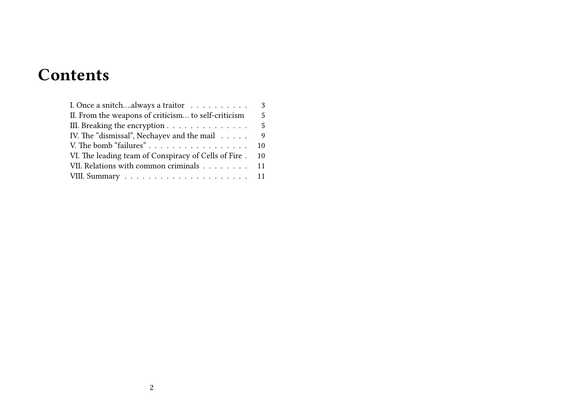# **Contents**

| I. Once a snitchalways a traitor $\ldots \ldots \ldots$ | 3  |
|---------------------------------------------------------|----|
| II. From the weapons of criticism to self-criticism     | 5  |
| III. Breaking the encryption                            | 5  |
| IV. The "dismissal", Nechayev and the mail              | 9  |
|                                                         | 10 |
| VI. The leading team of Conspiracy of Cells of Fire.    | 10 |
| VII. Relations with common criminals 11                 |    |
|                                                         |    |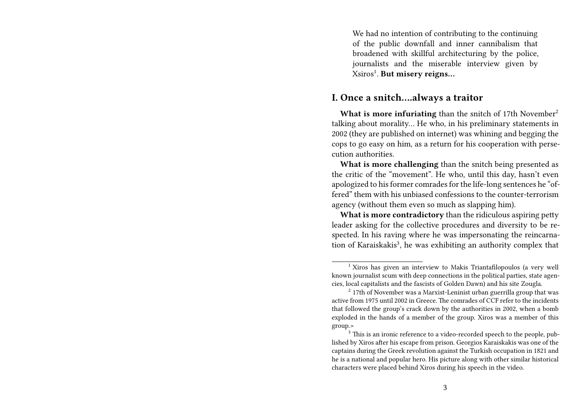We had no intention of contributing to the continuing of the public downfall and inner cannibalism that broadened with skillful architecturing by the police, journalists and the miserable interview given by Xsiros<sup>1</sup> . **But misery reigns…**

#### **I. Once a snitch….always a traitor**

What is more infuriating than the snitch of 17th November<sup>2</sup> talking about morality… He who, in his preliminary statements in 2002 (they are published on internet) was whining and begging the cops to go easy on him, as a return for his cooperation with persecution authorities.

**What is more challenging** than the snitch being presented as the critic of the "movement". He who, until this day, hasn't even apologized to his former comrades for the life-long sentences he "offered" them with his unbiased confessions to the counter-terrorism agency (without them even so much as slapping him).

**What is more contradictory** than the ridiculous aspiring petty leader asking for the collective procedures and diversity to be respected. In his raving where he was impersonating the reincarnation of Karaiskakis<sup>3</sup>, he was exhibiting an authority complex that

<sup>1</sup> Xiros has given an interview to Makis Triantafilopoulos (a very well known journalist scum with deep connections in the political parties, state agencies, local capitalists and the fascists of Golden Dawn) and his site Zougla.

<sup>&</sup>lt;sup>2</sup> 17th of November was a Marxist-Leninist urban guerrilla group that was active from 1975 until 2002 in Greece. The comrades of CCF refer to the incidents that followed the group's crack down by the authorities in 2002, when a bomb exploded in the hands of a member of the group. Xiros was a member of this group.>

 $3$  This is an ironic reference to a video-recorded speech to the people, published by Xiros after his escape from prison. Georgios Karaiskakis was one of the captains during the Greek revolution against the Turkish occupation in 1821 and he is a national and popular hero. His picture along with other similar historical characters were placed behind Xiros during his speech in the video.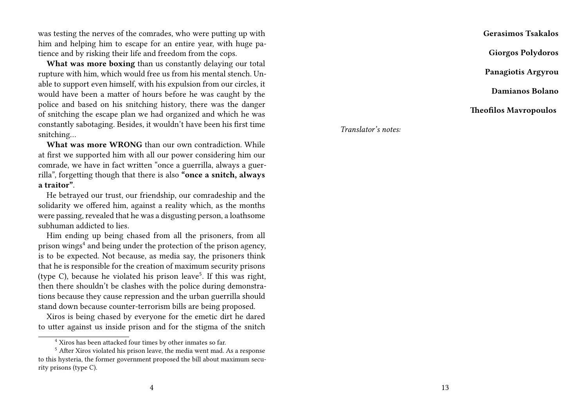was testing the nerves of the comrades, who were putting up with him and helping him to escape for an entire year, with huge patience and by risking their life and freedom from the cops.

**What was more boxing** than us constantly delaying our total rupture with him, which would free us from his mental stench. Unable to support even himself, with his expulsion from our circles, it would have been a matter of hours before he was caught by the police and based on his snitching history, there was the danger of snitching the escape plan we had organized and which he was constantly sabotaging. Besides, it wouldn't have been his first time snitching…

**What was more WRONG** than our own contradiction. While at first we supported him with all our power considering him our comrade, we have in fact written "once a guerrilla, always a guerrilla", forgetting though that there is also **"once a snitch, always a traitor"**.

He betrayed our trust, our friendship, our comradeship and the solidarity we offered him, against a reality which, as the months were passing, revealed that he was a disgusting person, a loathsome subhuman addicted to lies.

Him ending up being chased from all the prisoners, from all prison wings $4$  and being under the protection of the prison agency, is to be expected. Not because, as media say, the prisoners think that he is responsible for the creation of maximum security prisons (type C), because he violated his prison leave<sup>5</sup>. If this was right, then there shouldn't be clashes with the police during demonstrations because they cause repression and the urban guerrilla should stand down because counter-terrorism bills are being proposed.

Xiros is being chased by everyone for the emetic dirt he dared to utter against us inside prison and for the stigma of the snitch

**Gerasimos Tsakalos Giorgos Polydoros Panagiotis Argyrou Damianos Bolano Theofilos Mavropoulos**

*Translator's notes:*

<sup>4</sup> Xiros has been attacked four times by other inmates so far.

<sup>5</sup> After Xiros violated his prison leave, the media went mad. As a response to this hysteria, the former government proposed the bill about maximum security prisons (type C).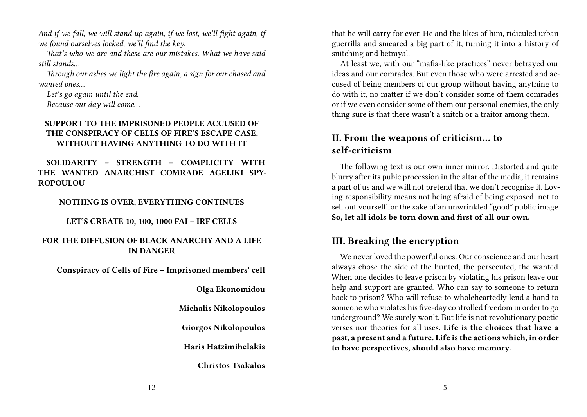*And if we fall, we will stand up again, if we lost, we'll fight again, if we found ourselves locked, we'll find the key.*

*That's who we are and these are our mistakes. What we have said still stands…*

*Through our ashes we light the fire again, a sign for our chased and wanted ones…*

*Let's go again until the end. Because our day will come…*

#### **SUPPORT TO THE IMPRISONED PEOPLE ACCUSED OF THE CONSPIRACY OF CELLS OF FIRE'S ESCAPE CASE, WITHOUT HAVING ANYTHING TO DO WITH IT**

**SOLIDARITY – STRENGTH – COMPLICITY WITH THE WANTED ANARCHIST COMRADE AGELIKI SPY-ROPOULOU**

**NOTHING IS OVER, EVERYTHING CONTINUES**

**LET'S CREATE 10, 100, 1000 FAI – IRF CELLS**

#### **FOR THE DIFFUSION OF BLACK ANARCHY AND A LIFE IN DANGER**

**Conspiracy of Cells of Fire – Imprisoned members' cell**

**Olga Ekonomidou**

**Michalis Nikolopoulos**

**Giorgos Nikolopoulos**

**Haris Hatzimihelakis**

**Christos Tsakalos**

that he will carry for ever. He and the likes of him, ridiculed urban guerrilla and smeared a big part of it, turning it into a history of snitching and betrayal.

At least we, with our "mafia-like practices" never betrayed our ideas and our comrades. But even those who were arrested and accused of being members of our group without having anything to do with it, no matter if we don't consider some of them comrades or if we even consider some of them our personal enemies, the only thing sure is that there wasn't a snitch or a traitor among them.

# **II. From the weapons of criticism… to self-criticism**

The following text is our own inner mirror. Distorted and quite blurry after its pubic procession in the altar of the media, it remains a part of us and we will not pretend that we don't recognize it. Loving responsibility means not being afraid of being exposed, not to sell out yourself for the sake of an unwrinkled "good" public image. **So, let all idols be torn down and first of all our own.**

# **III. Breaking the encryption**

We never loved the powerful ones. Our conscience and our heart always chose the side of the hunted, the persecuted, the wanted. When one decides to leave prison by violating his prison leave our help and support are granted. Who can say to someone to return back to prison? Who will refuse to wholeheartedly lend a hand to someone who violates his five-day controlled freedom in order to go underground? We surely won't. But life is not revolutionary poetic verses nor theories for all uses. **Life is the choices that have a past, a present and a future. Life is the actions which, in order to have perspectives, should also have memory.**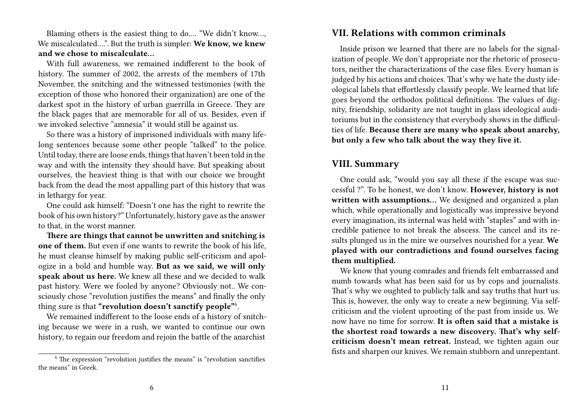Blaming others is the easiest thing to do…. "We didn't know…, We miscalculated….". But the truth is simpler: **We know, we knew and we chose to miscalculate…**

With full awareness, we remained indifferent to the book of history. The summer of 2002, the arrests of the members of 17th November, the snitching and the witnessed testimonies (with the exception of those who honored their organization) are one of the darkest spot in the history of urban guerrilla in Greece. They are the black pages that are memorable for all of us. Besides, even if we invoked selective "amnesia" it would still be against us.

So there was a history of imprisoned individuals with many lifelong sentences because some other people "talked" to the police. Until today, there are loose ends, things that haven't been told in the way and with the intensity they should have. But speaking about ourselves, the heaviest thing is that with our choice we brought back from the dead the most appalling part of this history that was in lethargy for year.

One could ask himself: "Doesn't one has the right to rewrite the book of his own history?" Unfortunately, history gave as the answer to that, in the worst manner.

**There are things that cannot be unwritten and snitching is one of them.** But even if one wants to rewrite the book of his life, he must cleanse himself by making public self-criticism and apologize in a bold and humble way. **But as we said, we will only speak about us here.** We knew all these and we decided to walk past history. Were we fooled by anyone? Obviously not.. We consciously chose "revolution justifies the means" and finally the only thing sure is that **"revolution doesn't sanctify people"**<sup>6</sup> .

We remained indifferent to the loose ends of a history of snitching because we were in a rush, we wanted to continue our own history, to regain our freedom and rejoin the battle of the anarchist

### **VII. Relations with common criminals**

Inside prison we learned that there are no labels for the signalization of people. We don't appropriate nor the rhetoric of prosecutors, neither the characterizations of the case files. Every human is judged by his actions and choices. That's why we hate the dusty ideological labels that effortlessly classify people. We learned that life goes beyond the orthodox political definitions. The values of dignity, friendship, solidarity are not taught in glass ideological auditoriums but in the consistency that everybody shows in the difficulties of life. **Because there are many who speak about anarchy, but only a few who talk about the way they live it.**

## **VIII. Summary**

One could ask, "would you say all these if the escape was successful ?". To be honest, we don't know. **However, history is not written with assumptions…** We designed and organized a plan which, while operationally and logistically was impressive beyond every imagination, its internal was held with "staples" and with incredible patience to not break the abscess. The cancel and its results plunged us in the mire we ourselves nourished for a year. **We played with our contradictions and found ourselves facing them multiplied.**

We know that young comrades and friends felt embarrassed and numb towards what has been said for us by cops and journalists. That's why we oughted to publicly talk and say truths that hurt us. This is, however, the only way to create a new beginning. Via selfcriticism and the violent uprooting of the past from inside us. We now have no time for sorrow. **It is often said that a mistake is the shortest road towards a new discovery. That's why selfcriticism doesn't mean retreat.** Instead, we tighten again our fists and sharpen our knives. We remain stubborn and unrepentant.

 $6$  The expression "revolution justifies the means" is "revolution sanctifies the means" in Greek.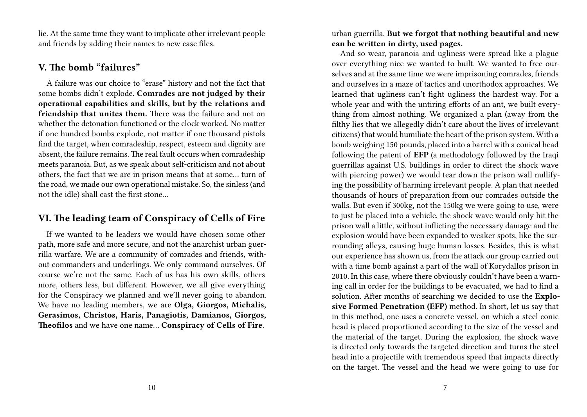lie. At the same time they want to implicate other irrelevant people and friends by adding their names to new case files.

## **V. The bomb "failures"**

A failure was our choice to "erase" history and not the fact that some bombs didn't explode. **Comrades are not judged by their operational capabilities and skills, but by the relations and friendship that unites them.** There was the failure and not on whether the detonation functioned or the clock worked. No matter if one hundred bombs explode, not matter if one thousand pistols find the target, when comradeship, respect, esteem and dignity are absent, the failure remains. The real fault occurs when comradeship meets paranoia. But, as we speak about self-criticism and not about others, the fact that we are in prison means that at some… turn of the road, we made our own operational mistake. So, the sinless (and not the idle) shall cast the first stone…

# **VI. The leading team of Conspiracy of Cells of Fire**

If we wanted to be leaders we would have chosen some other path, more safe and more secure, and not the anarchist urban guerrilla warfare. We are a community of comrades and friends, without commanders and underlings. We only command ourselves. Of course we're not the same. Each of us has his own skills, others more, others less, but different. However, we all give everything for the Conspiracy we planned and we'll never going to abandon. We have no leading members, we are **Olga, Giorgos, Michalis, Gerasimos, Christos, Haris, Panagiotis, Damianos, Giorgos, Theofilos** and we have one name… **Conspiracy of Cells of Fire**.

urban guerrilla. **But we forgot that nothing beautiful and new can be written in dirty, used pages.**

And so wear, paranoia and ugliness were spread like a plague over everything nice we wanted to built. We wanted to free ourselves and at the same time we were imprisoning comrades, friends and ourselves in a maze of tactics and unorthodox approaches. We learned that ugliness can't fight ugliness the hardest way. For a whole year and with the untiring efforts of an ant, we built everything from almost nothing. We organized a plan (away from the filthy lies that we allegedly didn't care about the lives of irrelevant citizens) that would humiliate the heart of the prison system. With a bomb weighing 150 pounds, placed into a barrel with a conical head following the patent of **EFP** (a methodology followed by the Iraqi guerrillas against U.S. buildings in order to direct the shock wave with piercing power) we would tear down the prison wall nullifying the possibility of harming irrelevant people. A plan that needed thousands of hours of preparation from our comrades outside the walls. But even if 300kg, not the 150kg we were going to use, were to just be placed into a vehicle, the shock wave would only hit the prison wall a little, without inflicting the necessary damage and the explosion would have been expanded to weaker spots, like the surrounding alleys, causing huge human losses. Besides, this is what our experience has shown us, from the attack our group carried out with a time bomb against a part of the wall of Korydallos prison in 2010. In this case, where there obviously couldn't have been a warning call in order for the buildings to be evacuated, we had to find a solution. After months of searching we decided to use the **Explosive Formed Penetration (EFP)** method. In short, let us say that in this method, one uses a concrete vessel, on which a steel conic head is placed proportioned according to the size of the vessel and the material of the target. During the explosion, the shock wave is directed only towards the targeted direction and turns the steel head into a projectile with tremendous speed that impacts directly on the target. The vessel and the head we were going to use for